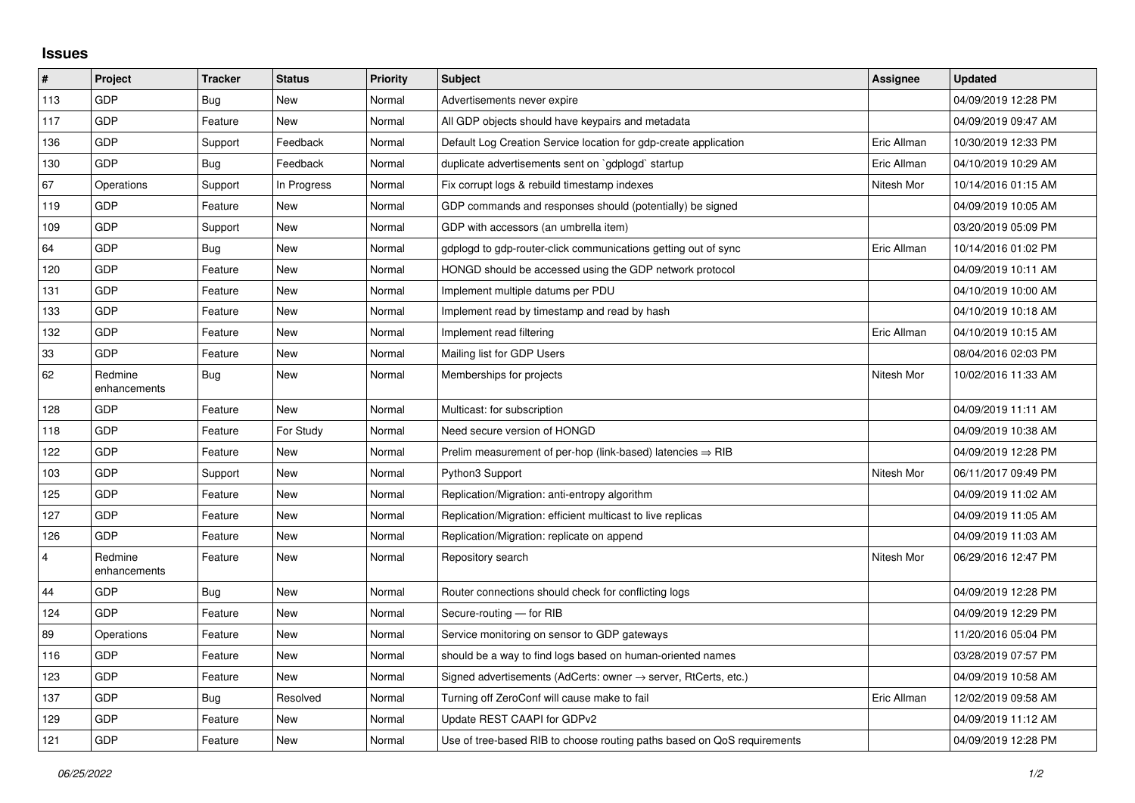## **Issues**

| #              | Project                 | <b>Tracker</b> | <b>Status</b> | <b>Priority</b> | <b>Subject</b>                                                             | <b>Assignee</b> | <b>Updated</b>      |
|----------------|-------------------------|----------------|---------------|-----------------|----------------------------------------------------------------------------|-----------------|---------------------|
| 113            | GDP                     | <b>Bug</b>     | <b>New</b>    | Normal          | Advertisements never expire                                                |                 | 04/09/2019 12:28 PM |
| 117            | GDP                     | Feature        | <b>New</b>    | Normal          | All GDP objects should have keypairs and metadata                          |                 | 04/09/2019 09:47 AM |
| 136            | GDP                     | Support        | Feedback      | Normal          | Default Log Creation Service location for gdp-create application           | Eric Allman     | 10/30/2019 12:33 PM |
| 130            | GDP                     | <b>Bug</b>     | Feedback      | Normal          | duplicate advertisements sent on `gdplogd` startup                         | Eric Allman     | 04/10/2019 10:29 AM |
| 67             | Operations              | Support        | In Progress   | Normal          | Fix corrupt logs & rebuild timestamp indexes                               | Nitesh Mor      | 10/14/2016 01:15 AM |
| 119            | <b>GDP</b>              | Feature        | <b>New</b>    | Normal          | GDP commands and responses should (potentially) be signed                  |                 | 04/09/2019 10:05 AM |
| 109            | GDP                     | Support        | <b>New</b>    | Normal          | GDP with accessors (an umbrella item)                                      |                 | 03/20/2019 05:09 PM |
| 64             | GDP                     | Bug            | <b>New</b>    | Normal          | gdplogd to gdp-router-click communications getting out of sync             | Eric Allman     | 10/14/2016 01:02 PM |
| 120            | GDP                     | Feature        | <b>New</b>    | Normal          | HONGD should be accessed using the GDP network protocol                    |                 | 04/09/2019 10:11 AM |
| 131            | GDP                     | Feature        | <b>New</b>    | Normal          | Implement multiple datums per PDU                                          |                 | 04/10/2019 10:00 AM |
| 133            | GDP                     | Feature        | New           | Normal          | Implement read by timestamp and read by hash                               |                 | 04/10/2019 10:18 AM |
| 132            | GDP                     | Feature        | New           | Normal          | Implement read filtering                                                   | Eric Allman     | 04/10/2019 10:15 AM |
| 33             | GDP                     | Feature        | <b>New</b>    | Normal          | Mailing list for GDP Users                                                 |                 | 08/04/2016 02:03 PM |
| 62             | Redmine<br>enhancements | <b>Bug</b>     | <b>New</b>    | Normal          | Memberships for projects                                                   | Nitesh Mor      | 10/02/2016 11:33 AM |
| 128            | GDP                     | Feature        | <b>New</b>    | Normal          | Multicast: for subscription                                                |                 | 04/09/2019 11:11 AM |
| 118            | GDP                     | Feature        | For Study     | Normal          | Need secure version of HONGD                                               |                 | 04/09/2019 10:38 AM |
| 122            | GDP                     | Feature        | New           | Normal          | Prelim measurement of per-hop (link-based) latencies $\Rightarrow$ RIB     |                 | 04/09/2019 12:28 PM |
| 103            | GDP                     | Support        | <b>New</b>    | Normal          | Python3 Support                                                            | Nitesh Mor      | 06/11/2017 09:49 PM |
| 125            | GDP                     | Feature        | <b>New</b>    | Normal          | Replication/Migration: anti-entropy algorithm                              |                 | 04/09/2019 11:02 AM |
| 127            | GDP                     | Feature        | <b>New</b>    | Normal          | Replication/Migration: efficient multicast to live replicas                |                 | 04/09/2019 11:05 AM |
| 126            | GDP                     | Feature        | <b>New</b>    | Normal          | Replication/Migration: replicate on append                                 |                 | 04/09/2019 11:03 AM |
| $\overline{4}$ | Redmine<br>enhancements | Feature        | New           | Normal          | Repository search                                                          | Nitesh Mor      | 06/29/2016 12:47 PM |
| 44             | GDP                     | Bug            | <b>New</b>    | Normal          | Router connections should check for conflicting logs                       |                 | 04/09/2019 12:28 PM |
| 124            | GDP                     | Feature        | <b>New</b>    | Normal          | Secure-routing - for RIB                                                   |                 | 04/09/2019 12:29 PM |
| 89             | Operations              | Feature        | New           | Normal          | Service monitoring on sensor to GDP gateways                               |                 | 11/20/2016 05:04 PM |
| 116            | GDP                     | Feature        | <b>New</b>    | Normal          | should be a way to find logs based on human-oriented names                 |                 | 03/28/2019 07:57 PM |
| 123            | GDP                     | Feature        | <b>New</b>    | Normal          | Signed advertisements (AdCerts: owner $\rightarrow$ server, RtCerts, etc.) |                 | 04/09/2019 10:58 AM |
| 137            | GDP                     | Bug            | Resolved      | Normal          | Turning off ZeroConf will cause make to fail                               | Eric Allman     | 12/02/2019 09:58 AM |
| 129            | GDP                     | Feature        | <b>New</b>    | Normal          | Update REST CAAPI for GDPv2                                                |                 | 04/09/2019 11:12 AM |
| 121            | GDP                     | Feature        | New           | Normal          | Use of tree-based RIB to choose routing paths based on QoS requirements    |                 | 04/09/2019 12:28 PM |